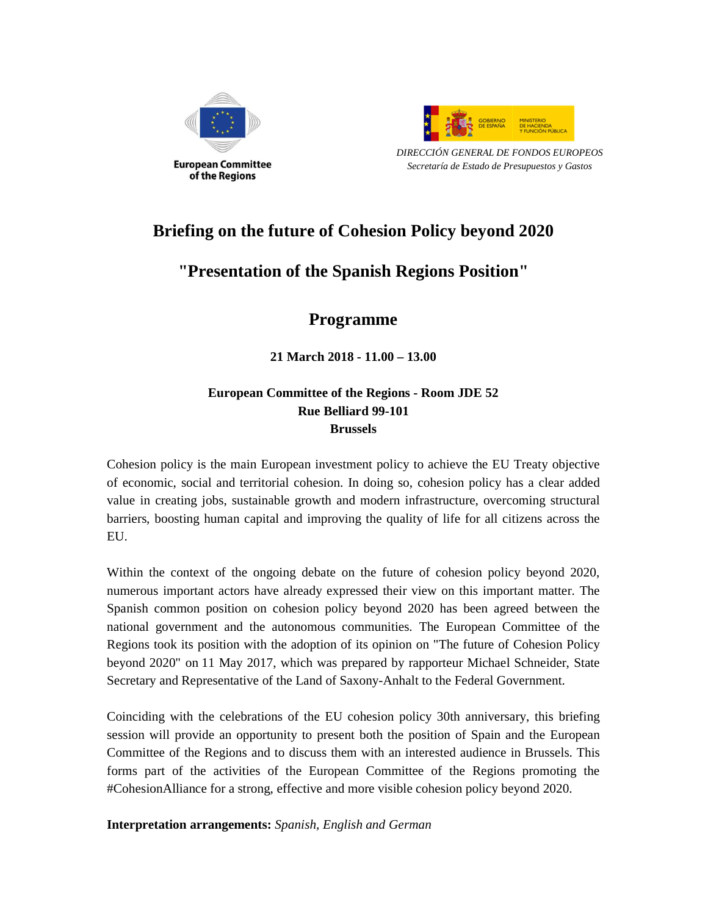



*DIRECCIÓN GENERAL DE FONDOS EUROPEOS Secretaría de Estado de Presupuestos y Gastos* 

# **Briefing on the future of Cohesion Policy beyond 2020**

# **"Presentation of the Spanish Regions Position"**

# **Programme**

**21 March 2018 - 11.00 – 13.00** 

### **European Committee of the Regions - Room JDE 52 Rue Belliard 99-101 Brussels**

Cohesion policy is the main European investment policy to achieve the EU Treaty objective of economic, social and territorial cohesion. In doing so, cohesion policy has a clear added value in creating jobs, sustainable growth and modern infrastructure, overcoming structural barriers, boosting human capital and improving the quality of life for all citizens across the EU.

Within the context of the ongoing debate on the future of cohesion policy beyond 2020, numerous important actors have already expressed their view on this important matter. The Spanish common position on cohesion policy beyond 2020 has been agreed between the national government and the autonomous communities. The European Committee of the Regions took its position with the adoption of its opinion on "The future of Cohesion Policy beyond 2020" on 11 May 2017, which was prepared by rapporteur Michael Schneider, State Secretary and Representative of the Land of Saxony-Anhalt to the Federal Government.

Coinciding with the celebrations of the EU cohesion policy 30th anniversary, this briefing session will provide an opportunity to present both the position of Spain and the European Committee of the Regions and to discuss them with an interested audience in Brussels. This forms part of the activities of the European Committee of the Regions promoting the #CohesionAlliance for a strong, effective and more visible cohesion policy beyond 2020.

**Interpretation arrangements:** *Spanish, English and German*